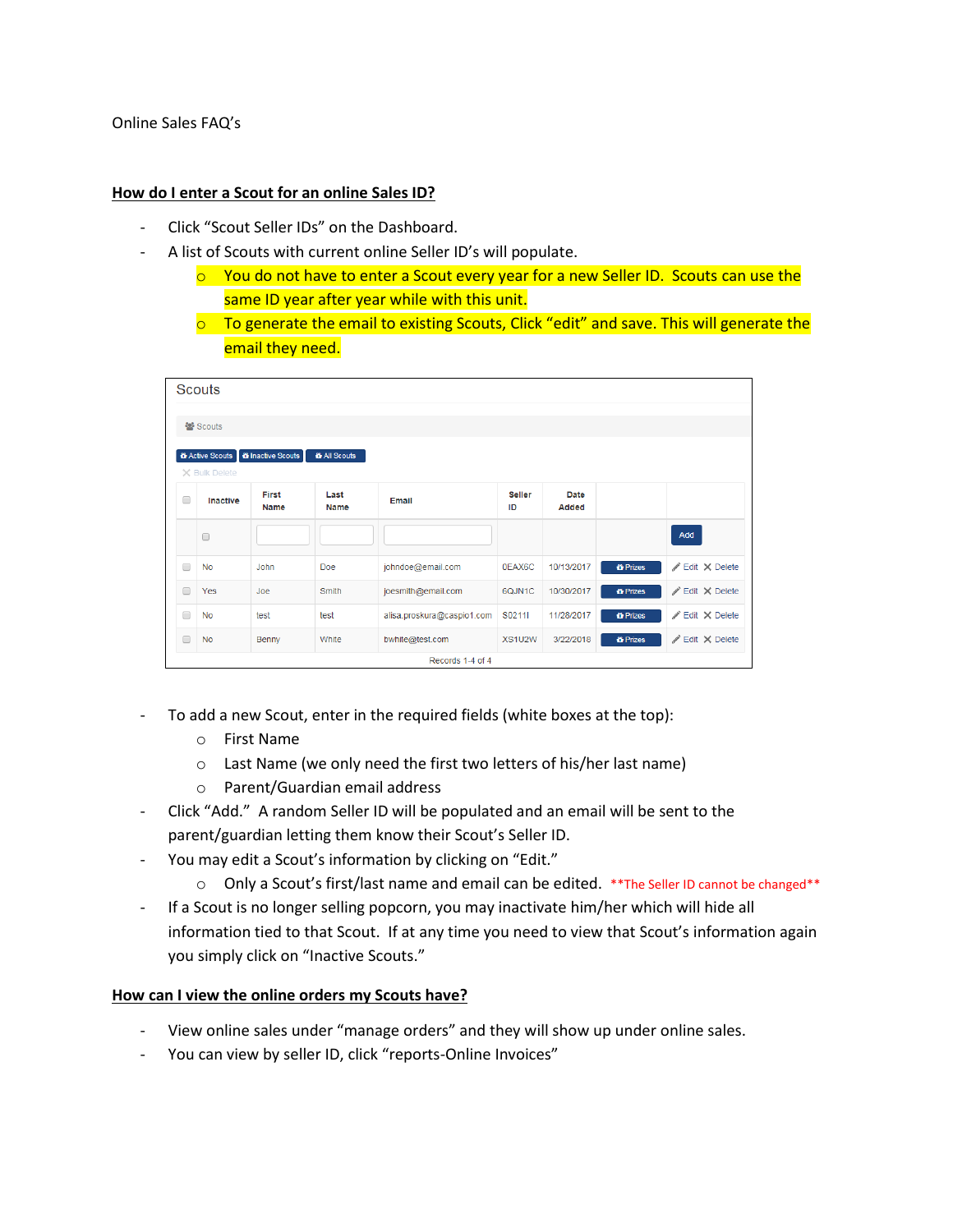Online Sales FAQ's

## **How do I enter a Scout for an online Sales ID?**

- Click "Scout Seller IDs" on the Dashboard.
- A list of Scouts with current online Seller ID's will populate.
	- $\circ$  You do not have to enter a Scout every year for a new Seller ID. Scouts can use the same ID year after year while with this unit.
	- $\circ$  To generate the email to existing Scouts, Click "edit" and save. This will generate the email they need.

| <b>Scouts</b>    |           |                                     |                      |                            |                     |               |                                   |                               |
|------------------|-----------|-------------------------------------|----------------------|----------------------------|---------------------|---------------|-----------------------------------|-------------------------------|
|                  |           |                                     |                      |                            |                     |               |                                   |                               |
| 월 Scouts         |           |                                     |                      |                            |                     |               |                                   |                               |
|                  |           | in Active Scouts in Inactive Scouts | <b>in</b> All Scouts |                            |                     |               |                                   |                               |
| X Bulk Delete    |           |                                     |                      |                            |                     |               |                                   |                               |
| $\Box$           | Inactive  | First<br><b>Name</b>                | Last<br><b>Name</b>  | Email                      | <b>Seller</b><br>ID | Date<br>Added |                                   |                               |
|                  | $\Box$    |                                     |                      |                            |                     |               |                                   | Add                           |
| $\Box$           | <b>No</b> | John                                | Doe                  | johndoe@email.com          | 0EAX6C              | 10/13/2017    | <b><i><u>i</u></i></b> Prizes     | Edit X Delete                 |
| $\Box$           | Yes       | Joe                                 | Smith                | joesmith@email.com         | 6QJN1C              | 10/30/2017    | <b><i><u>i</u></i></b> Prizes     | $\angle$ Edit $\times$ Delete |
| $\Box$           | <b>No</b> | test                                | test                 | alisa.proskura@caspio1.com | S0211I              | 11/28/2017    | <b><i>i</i></b> Prizes            | Edit X Delete                 |
| $\Box$           | <b>No</b> | Benny                               | White                | bwhite@test.com            | XS1U2W              | 3/22/2018     | <b><i><del>n</del></i></b> Prizes | $\angle$ Edit $\times$ Delete |
| Records 1-4 of 4 |           |                                     |                      |                            |                     |               |                                   |                               |

- To add a new Scout, enter in the required fields (white boxes at the top):
	- o First Name
	- o Last Name (we only need the first two letters of his/her last name)
	- o Parent/Guardian email address
- Click "Add." A random Seller ID will be populated and an email will be sent to the parent/guardian letting them know their Scout's Seller ID.
- You may edit a Scout's information by clicking on "Edit."
	- o Only a Scout's first/last name and email can be edited. \*\*The Seller ID cannot be changed\*\*
- If a Scout is no longer selling popcorn, you may inactivate him/her which will hide all information tied to that Scout. If at any time you need to view that Scout's information again you simply click on "Inactive Scouts."

#### **How can I view the online orders my Scouts have?**

- View online sales under "manage orders" and they will show up under online sales.
- You can view by seller ID, click "reports-Online Invoices"